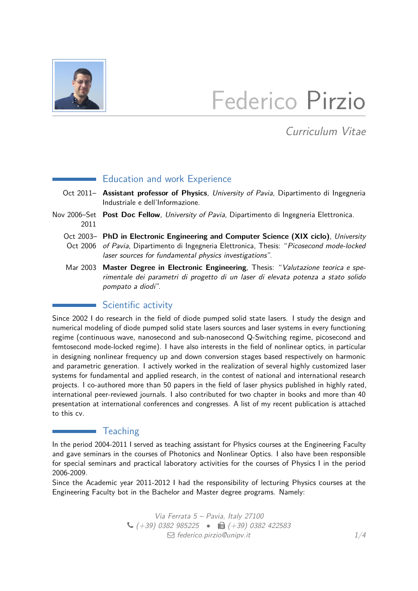

## Federico Pirzio

Curriculum Vitae

## Education and work Experience

- Oct 2011– **Assistant professor of Physics**, University of Pavia, Dipartimento di Ingegneria Industriale e dell'Informazione.
- Nov 2006–Set Post Doc Fellow, University of Pavia, Dipartimento di Ingegneria Elettronica. 2011
	- Oct 2003– **PhD in Electronic Engineering and Computer Science (XIX ciclo)**, University Oct 2006 of Pavia, Dipartimento di Ingegneria Elettronica, Thesis: "Picosecond mode-lockea laser sources for fundamental physics investigations".
	- Mar 2003 **Master Degree in Electronic Engineering**, Thesis: "Valutazione teorica e sperimentale dei parametri di progetto di un laser di elevata potenza a stato solido pompato a diodi".

## Scientific activity

Since 2002 I do research in the field of diode pumped solid state lasers. I study the design and numerical modeling of diode pumped solid state lasers sources and laser systems in every functioning regime (continuous wave, nanosecond and sub-nanosecond Q-Switching regime, picosecond and femtosecond mode-locked regime). I have also interests in the field of nonlinear optics, in particular in designing nonlinear frequency up and down conversion stages based respectively on harmonic and parametric generation. I actively worked in the realization of several highly customized laser systems for fundamental and applied research, in the contest of national and international research projects. I co-authored more than 50 papers in the field of laser physics published in highly rated, international peer-reviewed journals. I also contributed for two chapter in books and more than 40 presentation at international conferences and congresses. A list of my recent publication is attached to this cv.

## **Teaching**

In the period 2004-2011 I served as teaching assistant for Physics courses at the Engineering Faculty and gave seminars in the courses of Photonics and Nonlinear Optics. I also have been responsible for special seminars and practical laboratory activities for the courses of Physics I in the period 2006-2009.

Since the Academic year 2011-2012 I had the responsibility of lecturing Physics courses at the Engineering Faculty bot in the Bachelor and Master degree programs. Namely:

> Via Ferrata 5 – Pavia, Italy 27100  $\bigcup$  (+39) 0382 985225 •  $\bigoplus$  (+39) 0382 422583  $\Box$  [federico.pirzio@unipv.it](mailto:federico.pirzio@unipv.it)  $1/4$  $1/4$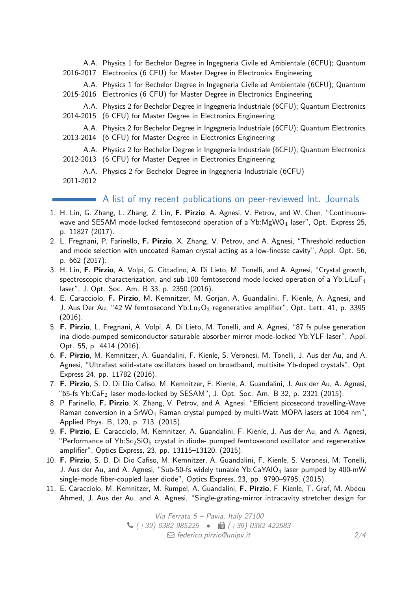A.A. Physics 1 for Bechelor Degree in Ingegneria Civile ed Ambientale (6CFU); Quantum 2016-2017 Electronics (6 CFU) for Master Degree in Electronics Engineering

A.A. Physics 1 for Bechelor Degree in Ingegneria Civile ed Ambientale (6CFU); Quantum 2015-2016 Electronics (6 CFU) for Master Degree in Electronics Engineering

A.A. Physics 2 for Bechelor Degree in Ingegneria Industriale (6CFU); Quantum Electronics 2014-2015 (6 CFU) for Master Degree in Electronics Engineering

A.A. Physics 2 for Bechelor Degree in Ingegneria Industriale (6CFU); Quantum Electronics 2013-2014 (6 CFU) for Master Degree in Electronics Engineering

A.A. Physics 2 for Bechelor Degree in Ingegneria Industriale (6CFU); Quantum Electronics 2012-2013 (6 CFU) for Master Degree in Electronics Engineering

A.A. Physics 2 for Bechelor Degree in Ingegneria Industriale (6CFU)

2011-2012

A list of my recent publications on peer-reviewed Int. Journals

- 1. H. Lin, G. Zhang, L. Zhang, Z. Lin, **F. Pirzio**, A. Agnesi, V. Petrov, and W. Chen, "Continuouswave and SESAM mode-locked femtosecond operation of a Yb:MgWO<sub>4</sub> laser", Opt. Express 25, p. 11827 (2017).
- 2. L. Fregnani, P. Farinello, **F. Pirzio**, X. Zhang, V. Petrov, and A. Agnesi, "Threshold reduction and mode selection with uncoated Raman crystal acting as a low-finesse cavity", Appl. Opt. 56, p. 662 (2017).
- 3. H. Lin, **F. Pirzio**, A. Volpi, G. Cittadino, A. Di Lieto, M. Tonelli, and A. Agnesi, "Crystal growth, spectroscopic characterization, and sub-100 femtosecond mode-locked operation of a Yb:LiLuF<sub>4</sub> laser", J. Opt. Soc. Am. B 33, p. 2350 (2016).
- 4. E. Caracciolo, **F. Pirzio**, M. Kemnitzer, M. Gorjan, A. Guandalini, F. Kienle, A. Agnesi, and J. Aus Der Au, "42 W femtosecond Yb: $Lu_2O_3$  regenerative amplifier", Opt. Lett. 41, p. 3395 (2016).
- 5. **F. Pirzio**, L. Fregnani, A. Volpi, A. Di Lieto, M. Tonelli, and A. Agnesi, "87 fs pulse generation ina diode-pumped semiconductor saturable absorber mirror mode-locked Yb:YLF laser", Appl. Opt. 55, p. 4414 (2016).
- 6. **F. Pirzio**, M. Kemnitzer, A. Guandalini, F. Kienle, S. Veronesi, M. Tonelli, J. Aus der Au, and A. Agnesi, "Ultrafast solid-state oscillators based on broadband, multisite Yb-doped crystals", Opt. Express 24, pp. 11782 (2016).
- 7. **F. Pirzio**, S. D. Di Dio Cafiso, M. Kemnitzer, F. Kienle, A. Guandalini, J. Aus der Au, A. Agnesi, "65-fs Yb:Ca $F_2$  laser mode-locked by SESAM", J. Opt. Soc. Am. B 32, p. 2321 (2015).
- 8. P. Farinello, **F. Pirzio**, X. Zhang, V. Petrov, and A. Agnesi, "Efficient picosecond travelling-Wave Raman conversion in a SrWO<sub>4</sub> Raman crystal pumped by multi-Watt MOPA lasers at 1064 nm", Applied Phys. B, 120, p. 713, (2015).
- 9. **F. Pirzio**, E. Caracciolo, M. Kemnitzer, A. Guandalini, F. Kienle, J. Aus der Au, and A. Agnesi, "Performance of Yb: $Sc_2SiO_5$  crystal in diode- pumped femtosecond oscillator and regenerative amplifier", Optics Express, 23, pp. 13115–13120, (2015).
- 10. **F. Pirzio**, S. D. Di Dio Cafiso, M. Kemnitzer, A. Guandalini, F. Kienle, S. Veronesi, M. Tonelli, J. Aus der Au, and A. Agnesi, "Sub-50-fs widely tunable Yb:CaYAIO<sub>4</sub> laser pumped by 400-mW single-mode fiber-coupled laser diode", Optics Express, 23, pp. 9790–9795, (2015).
- 11. E. Caracciolo, M. Kemnitzer, M. Rumpel, A. Guandalini, **F. Pirzio**, F. Kienle, T. Graf, M. Abdou Ahmed, J. Aus der Au, and A. Agnesi, "Single-grating-mirror intracavity stretcher design for

Via Ferrata 5 – Pavia, Italy 27100  $\bigcup$  (+39) 0382 985225 •  $\bigoplus$  (+39) 0382 422583  $\Box$  [federico.pirzio@unipv.it](mailto:federico.pirzio@unipv.it) 2[/4](#page-3-0)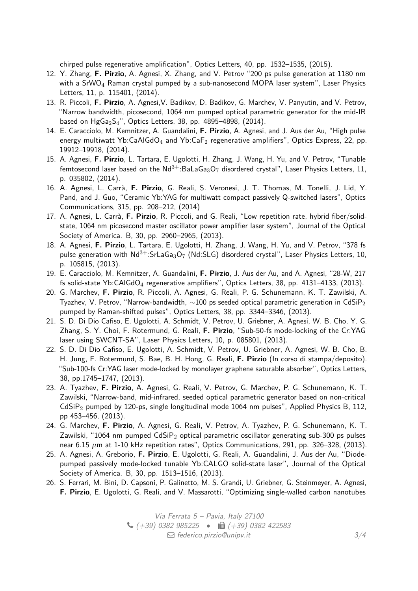chirped pulse regenerative amplification", Optics Letters, 40, pp. 1532–1535, (2015).

- 12. Y. Zhang, **F. Pirzio**, A. Agnesi, X. Zhang, and V. Petrov "200 ps pulse generation at 1180 nm with a  $SrWO<sub>4</sub> Raman crystal pumped by a sub-ananosecond MOPA laser system"$ , Laser Physics Letters, 11, p. 115401, (2014).
- 13. R. Piccoli, **F. Pirzio**, A. Agnesi,V. Badikov, D. Badikov, G. Marchev, V. Panyutin, and V. Petrov, "Narrow bandwidth, picosecond, 1064 nm pumped optical parametric generator for the mid-IR based on  $HgGa<sub>2</sub>S<sub>4</sub>$ ", Optics Letters, 38, pp. 4895-4898, (2014).
- 14. E. Caracciolo, M. Kemnitzer, A. Guandalini, **F. Pirzio**, A. Agnesi, and J. Aus der Au, "High pulse energy multiwatt Yb:CaAlGdO<sub>4</sub> and Yb:CaF<sub>2</sub> regenerative amplifiers", Optics Express, 22, pp. 19912–19918, (2014).
- 15. A. Agnesi, **F. Pirzio**, L. Tartara, E. Ugolotti, H. Zhang, J. Wang, H. Yu, and V. Petrov, "Tunable femtosecond laser based on the  $Nd^{3+}$ :BaLaGa<sub>3</sub>O<sub>7</sub> disordered crystal", Laser Physics Letters, 11, p. 035802, (2014).
- 16. A. Agnesi, L. Carrà, **F. Pirzio**, G. Reali, S. Veronesi, J. T. Thomas, M. Tonelli, J. Lid, Y. Pand, and J. Guo, "Ceramic Yb:YAG for multiwatt compact passively Q-switched lasers", Optics Communications, 315, pp. 208–212, (2014)
- 17. A. Agnesi, L. Carrà, **F. Pirzio**, R. Piccoli, and G. Reali, "Low repetition rate, hybrid fiber/solidstate, 1064 nm picosecond master oscillator power amplifier laser system", Journal of the Optical Society of America. B, 30, pp. 2960–2965, (2013).
- 18. A. Agnesi, **F. Pirzio**, L. Tartara, E. Ugolotti, H. Zhang, J. Wang, H. Yu, and V. Petrov, "378 fs pulse generation with  $Nd^{3+}$ :SrLaGa<sub>3</sub>O<sub>7</sub> (Nd:SLG) disordered crystal", Laser Physics Letters, 10, p. 105815, (2013).
- 19. E. Caracciolo, M. Kemnitzer, A. Guandalini, **F. Pirzio**, J. Aus der Au, and A. Agnesi, "28-W, 217 fs solid-state Yb:CAlGdO<sub>4</sub> regenerative amplifiers", Optics Letters, 38, pp. 4131-4133, (2013).
- 20. G. Marchev, **F. Pirzio**, R. Piccoli, A. Agnesi, G. Reali, P. G. Schunemann, K. T. Zawilski, A. Tyazhev, V. Petrov, "Narrow-bandwidth,  $\sim$ 100 ps seeded optical parametric generation in CdSiP<sub>2</sub> pumped by Raman-shifted pulses", Optics Letters, 38, pp. 3344–3346, (2013).
- 21. S. D. Di Dio Cafiso, E. Ugolotti, A. Schmidt, V. Petrov, U. Griebner, A. Agnesi, W. B. Cho, Y. G. Zhang, S. Y. Choi, F. Rotermund, G. Reali, **F. Pirzio**, "Sub-50-fs mode-locking of the Cr:YAG laser using SWCNT-SA", Laser Physics Letters, 10, p. 085801, (2013).
- 22. S. D. Di Dio Cafiso, E. Ugolotti, A. Schmidt, V. Petrov, U. Griebner, A. Agnesi, W. B. Cho, B. H. Jung, F. Rotermund, S. Bae, B. H. Hong, G. Reali, **F. Pirzio** (In corso di stampa/deposito). "Sub-100-fs Cr:YAG laser mode-locked by monolayer graphene saturable absorber", Optics Letters, 38, pp.1745–1747, (2013).
- 23. A. Tyazhev, **F. Pirzio**, A. Agnesi, G. Reali, V. Petrov, G. Marchev, P. G. Schunemann, K. T. Zawilski, "Narrow-band, mid-infrared, seeded optical parametric generator based on non-critical  $CdSiP<sub>2</sub>$  pumped by 120-ps, single longitudinal mode 1064 nm pulses", Applied Physics B, 112, pp 453–456, (2013).
- 24. G. Marchev, **F. Pirzio**, A. Agnesi, G. Reali, V. Petrov, A. Tyazhev, P. G. Schunemann, K. T. Zawilski, "1064 nm pumped  $CdSiP_2$  optical parametric oscillator generating sub-300 ps pulses near 6.15 *µ*m at 1-10 kHz repetition rates", Optics Communications, 291, pp. 326–328, (2013).
- 25. A. Agnesi, A. Greborio, **F. Pirzio**, E. Ugolotti, G. Reali, A. Guandalini, J. Aus der Au, "Diodepumped passively mode-locked tunable Yb:CALGO solid-state laser", Journal of the Optical Society of America. B, 30, pp. 1513–1516, (2013).
- 26. S. Ferrari, M. Bini, D. Capsoni, P. Galinetto, M. S. Grandi, U. Griebner, G. Steinmeyer, A. Agnesi, **F. Pirzio**, E. Ugolotti, G. Reali, and V. Massarotti, "Optimizing single-walled carbon nanotubes

Via Ferrata 5 – Pavia, Italy 27100  $\bigcup$  (+39) 0382 985225 •  $\bigoplus$  (+39) 0382 422583  $\Box$  [federico.pirzio@unipv.it](mailto:federico.pirzio@unipv.it) 3[/4](#page-3-0)